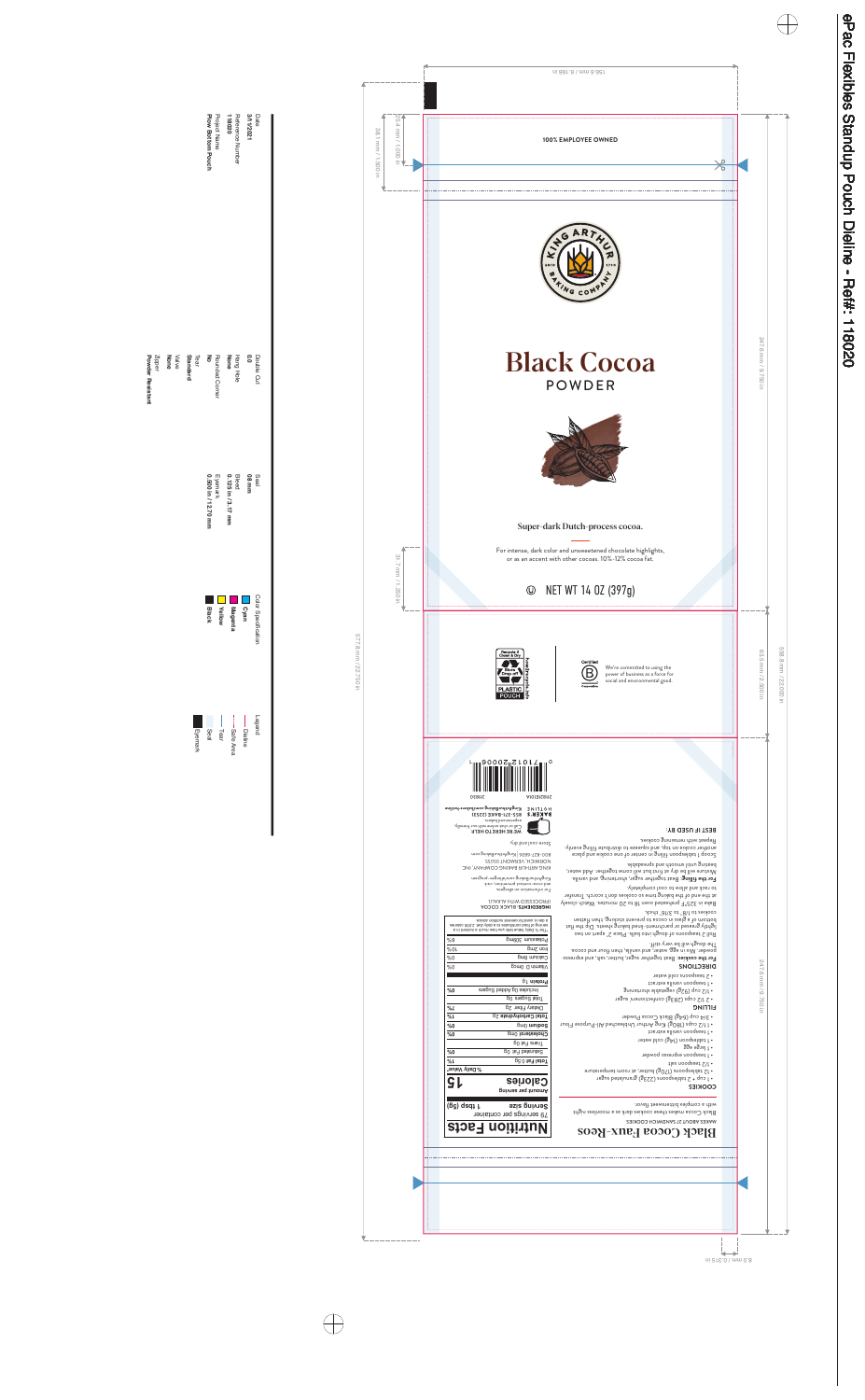



# Black Cocoa POWDER



Super-dark Dutch-process cocoa.

For intense, dark color and unsweetened chocolate highlights, or as an accent with other cocoas. 10%-12% cocoa fat.